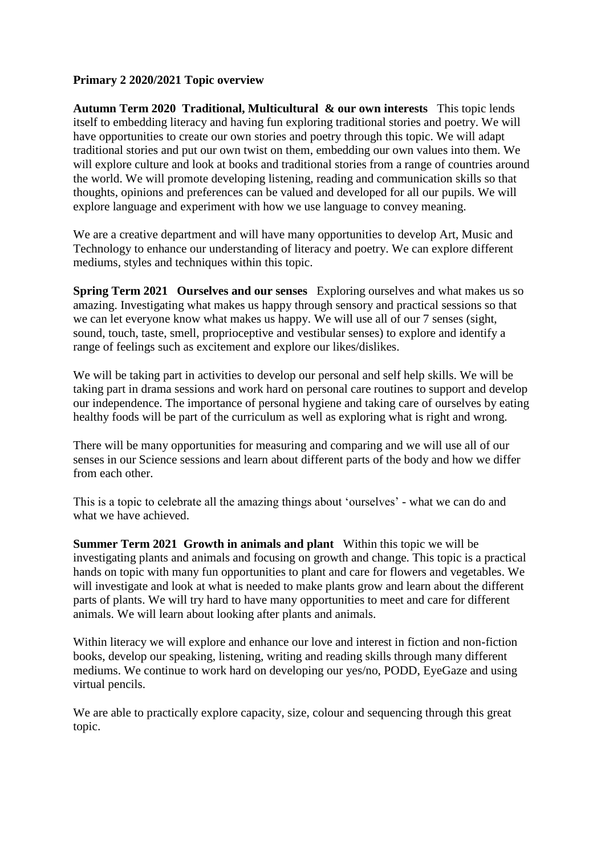## **Primary 2 2020/2021 Topic overview**

**Autumn Term 2020 Traditional, Multicultural & our own interests** This topic lends itself to embedding literacy and having fun exploring traditional stories and poetry. We will have opportunities to create our own stories and poetry through this topic. We will adapt traditional stories and put our own twist on them, embedding our own values into them. We will explore culture and look at books and traditional stories from a range of countries around the world. We will promote developing listening, reading and communication skills so that thoughts, opinions and preferences can be valued and developed for all our pupils. We will explore language and experiment with how we use language to convey meaning.

We are a creative department and will have many opportunities to develop Art, Music and Technology to enhance our understanding of literacy and poetry. We can explore different mediums, styles and techniques within this topic.

**Spring Term 2021 Ourselves and our senses** Exploring ourselves and what makes us so amazing. Investigating what makes us happy through sensory and practical sessions so that we can let everyone know what makes us happy. We will use all of our 7 senses (sight, sound, touch, taste, smell, proprioceptive and vestibular senses) to explore and identify a range of feelings such as excitement and explore our likes/dislikes.

We will be taking part in activities to develop our personal and self help skills. We will be taking part in drama sessions and work hard on personal care routines to support and develop our independence. The importance of personal hygiene and taking care of ourselves by eating healthy foods will be part of the curriculum as well as exploring what is right and wrong.

There will be many opportunities for measuring and comparing and we will use all of our senses in our Science sessions and learn about different parts of the body and how we differ from each other.

This is a topic to celebrate all the amazing things about 'ourselves' - what we can do and what we have achieved.

**Summer Term 2021 Growth in animals and plant** Within this topic we will be investigating plants and animals and focusing on growth and change. This topic is a practical hands on topic with many fun opportunities to plant and care for flowers and vegetables. We will investigate and look at what is needed to make plants grow and learn about the different parts of plants. We will try hard to have many opportunities to meet and care for different animals. We will learn about looking after plants and animals.

Within literacy we will explore and enhance our love and interest in fiction and non-fiction books, develop our speaking, listening, writing and reading skills through many different mediums. We continue to work hard on developing our yes/no, PODD, EyeGaze and using virtual pencils.

We are able to practically explore capacity, size, colour and sequencing through this great topic.